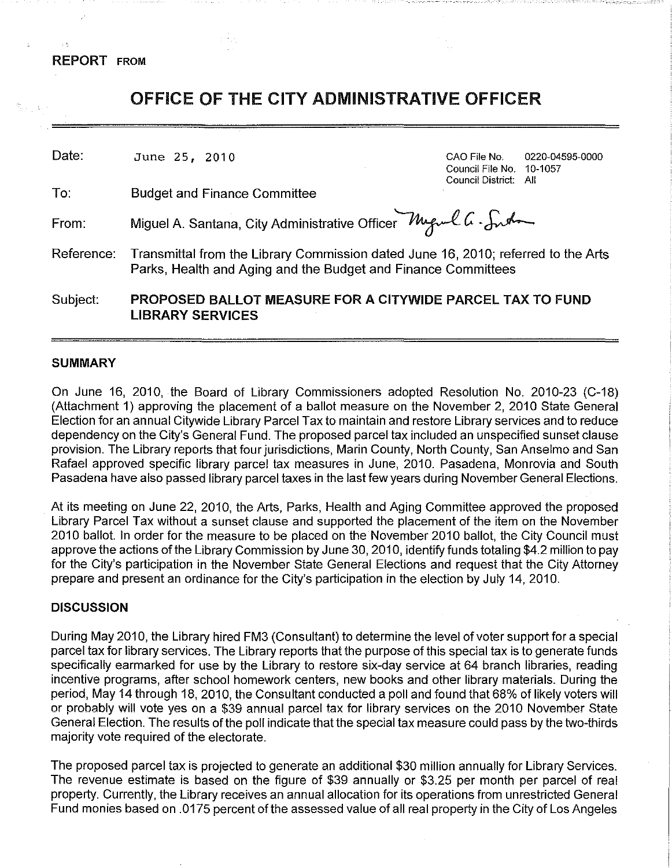**REPORT** FROM

 $\pm$  0.

| 34.3       | OFFICE OF THE CITY ADMINISTRATIVE OFFICER                                                                                                          |                                                                  |                 |  |  |
|------------|----------------------------------------------------------------------------------------------------------------------------------------------------|------------------------------------------------------------------|-----------------|--|--|
| Date:      | June 25, 2010                                                                                                                                      | CAO File No<br>Council File No. 10-1057<br>Council District: All | 0220-04595-0000 |  |  |
| To:        | <b>Budget and Finance Committee</b>                                                                                                                |                                                                  |                 |  |  |
| From:      | Miguel A. Santana, City Administrative Officer Muguel G. Such                                                                                      |                                                                  |                 |  |  |
| Reference: | Transmittal from the Library Commission dated June 16, 2010; referred to the Arts<br>Parks, Health and Aging and the Budget and Finance Committees |                                                                  |                 |  |  |
| Subject:   | <b>PROPOSED BALLOT MEASURE FOR A CITYWIDE PARCEL TAX TO FUND</b><br><b>LIBRARY SERVICES</b>                                                        |                                                                  |                 |  |  |

#### **SUMMARY**

On June 16, 2010, the Board of Library Commissioners adopted Resolution No. 2010-23 (C-18) (Attachment 1) approving the placement of a ballot measure on the November 2, 2010 State General Election for an annual Citywide Library Parcel Tax to maintain and restore Library services and to reduce dependency on the City's General Fund. The proposed parcel tax included an unspecified sunset clause provision. The Library reports that four jurisdictions, Marin County, North County, San Anselmo and San Rafael approved specific library parcel tax measures in June, 2010. Pasadena, Monrovia and South Pasadena have also passed library parcel taxes in the last few years during November General Elections.

At its meeting on June 22, 2010, the Arts, Parks, Health and Aging Committee approved the proposed Library Parcel Tax without a sunset clause and supported the placement of the item on the November 2010 ballot. In order for the measure to be placed on the November 2010 ballot, the City Council must approve the actions of the Library Commission by June 30, 2010, identify funds totaling \$4.2 million to pay for the City's participation in the November State General Elections and request that the City Attorney prepare and present an ordinance for the City's participation in the election by July 14, 2010.

#### **DISCUSSION**

During May 2010, the Library hired FM3 (Consultant) to determine the level of voter support for a special parcel tax for library services. The Library reports that the purpose of this special tax is to generate funds specifically earmarked for use by the Library to restore six-day service at 64 branch libraries, reading incentive programs, after school homework centers, new books and other library materials. During the period, May 14 through 18, 2010, the Consultant conducted a poll and found that 68% of likely voters will or probably will vote yes on a \$39 annual parcel tax for library services on the 2010 November State General Election. The results of the poll indicate that the special tax measure could pass by the two-thirds majority vote required of the electorate.

The proposed parcel tax is projected to generate an additional \$30 million annually for Library Services. The revenue estimate is based on the figure of \$39 annually or \$3.25 per month per parcel of real property. Currently, the Library receives an annual allocation for its operations from unrestricted General Fund monies based on .0175 percent of the assessed value of all real property in the City of Los Angeles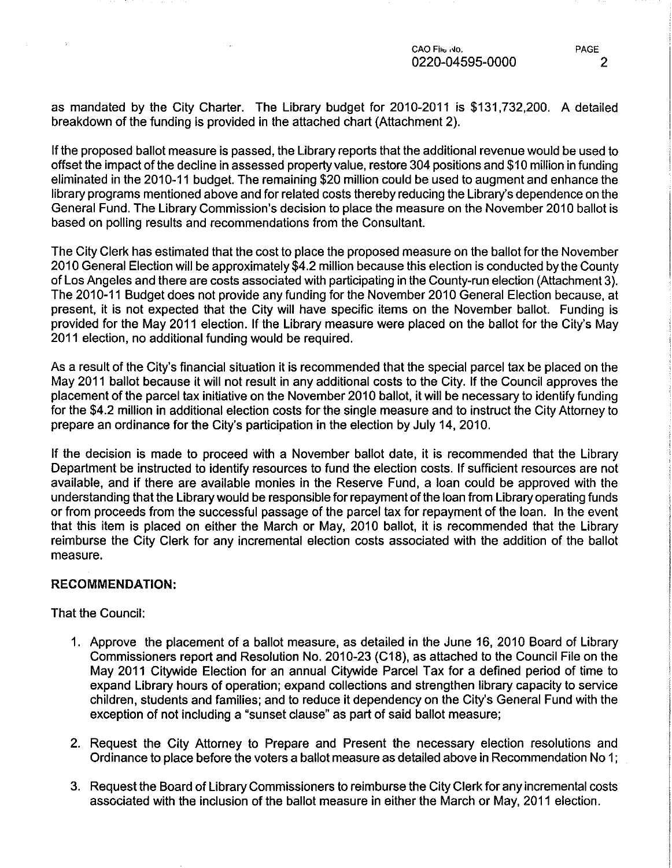**CAO Fhto f.Jo. PAGE**  0220-04595-0000 2

as mandated by the City Charter. The Library budget for 2010-2011 is \$131,732,200. A detailed breakdown of the funding is provided in the attached chart (Attachment 2).

If the proposed ballot measure is passed, the Library reports that the additional revenue would be used to offset the impact of the decline in assessed property value, restore 304 positions and \$10 million in funding eliminated in the 2010-11 budget. The remaining \$20 million could be used to augment and enhance the library programs mentioned above and for related costs thereby reducing the Library's dependence on the General Fund. The Library Commission's decision to place the measure on the November 2010 ballot is based on polling results and recommendations from the Consultant.

The City Clerk has estimated that the cost to place the proposed measure on the ballot for the November 2010 General Election will be approximately \$4.2 million because this election is conducted by the County of Los Angeles and there are costs associated with participating in the County-run election (Attachment 3 ). The 2010-11 Budget does not provide any funding for the November 2010 General Election because, at present, it is not expected that the City will have specific items on the November ballot. Funding is provided for the May 2011 election. If the Library measure were placed on the ballot for the City's May 2011 election, no additional funding would be required.

As a result of the City's financial situation it is recommended that the special parcel tax be placed on the May 2011 ballot because it will not result in any additional costs to the City. If the Council approves the placement of the parcel tax initiative on the November 2010 ballot, it will be necessary to identify funding for the \$4.2 million in additional election costs for the single measure and to instruct the City Attorney to prepare an ordinance for the City's participation in the election by July 14, 2010.

If the decision is made to proceed with a November ballot date, it is recommended that the Library Department be instructed to identify resources to fund the election costs. If sufficient resources are not available, and if there are available monies in the Reserve Fund, a loan could be approved with the understanding that the Library would be responsible for repayment of the loan from Library operating funds or from proceeds from the successful passage of the parcel tax for repayment of the loan. In the event that this item is placed on either the March or May, 2010 ballot, it is recommended that the Library reimburse the City Clerk for any incremental election costs associated with the addition of the ballot measure.

# RECOMMENDATION:

That the Council:

 $\sim$   $\alpha$ 

- 1. Approve the placement of a ballot measure, as detailed in the June 16, 2010 Board of Library Commissioners report and Resolution No. 2010-23 (C18), as attached to the Council File on the May 2011 Citywide Election for an annual Citywide Parcel Tax for a defined period of time to expand Library hours of operation; expand collections and strengthen library capacity to service children, students and families; and to reduce it dependency on the City's General Fund with the exception of not including a "sunset clause" as part of said ballot measure;
- 2. Request the City Attorney to Prepare and Present the necessary election resolutions and Ordinance to place before the voters a ballot measure as detailed above in Recommendation No 1;
- 3. Request the Board of Library Commissioners to reimburse the City Clerk for any incremental costs associated with the inclusion of the ballot measure in either the March or May, 2011 election.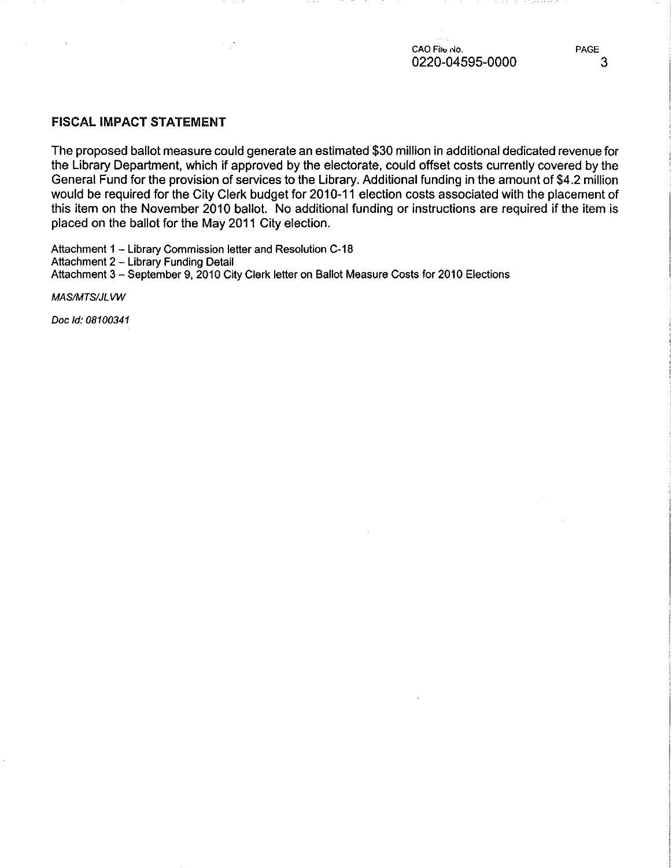**CAO File No.** *PAGE* 0220-04595-0000 3

# FISCAL IMPACT STATEMENT

The proposed ballot measure could generate an estimated \$30 million in additional dedicated revenue for the Library Department, which if approved by the electorate, could offset costs currently covered by the General Fund for the provision of services to the Library. Additional funding in the amount of \$4.2 million would be required for the City Clerk budget for 2010-11 election costs associated with the placement of this item on the November 2010 ballot. No additional funding or instructions are required if the item is placed on the ballot for the May 2011 City election.

Attachment 1 - Library Commission letter and Resolution C-18 Attachment 2 - Library Funding Detail Attachment 3- September 9, 2010 City Clerk letter on Ballot Measure Costs for 2010 Elections

MAS/MTS/JL VW

÷.

Doc ld: 08100341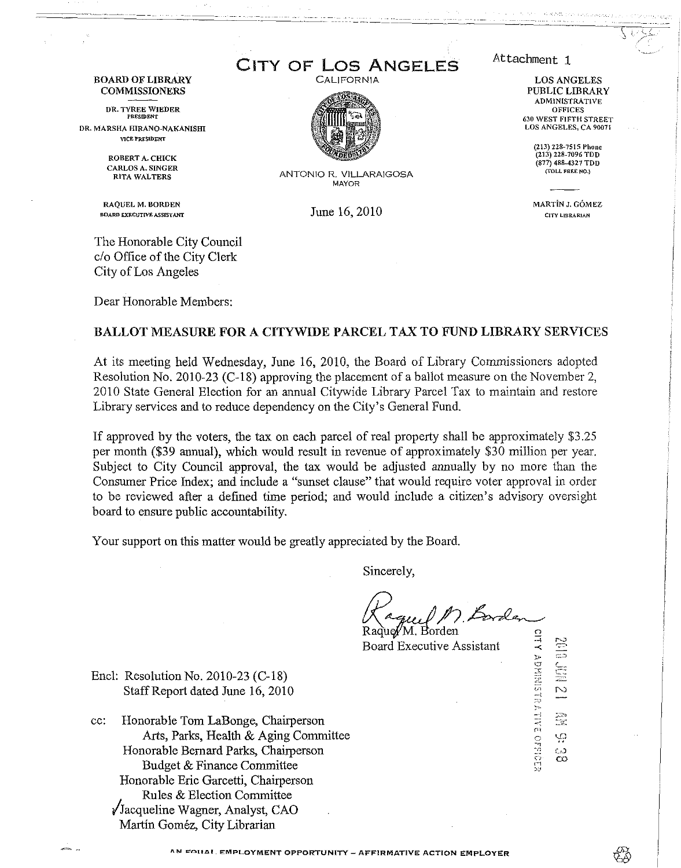#### BOARD OF LIBRARY COMMISSIONERS

DR. TYREE WIEDER

DR. MARSHA HIRANO-NAKANISHI VICE PRESIDENT

> ROBERT A. CHICK CARLOS A. SINGER RITA WALTERS

RAQUEL M. BORDEN BOARD EXECUTIVE ASSISTANT

The Honorable City Council c/o Office of the City Clerk City of Los Angeles

Dear Honorable Members:

CITY OF LOS ANGELES

**CALIFORNIA** 



ANTONIO R. VILLARAIGOSA MAYOR

June 16, 2010

Attachment 1

LOS ANGELES PUBLIC LIBRARY ADMINISTRATIVr OFFICES 630 WEST FIFTH STREET LOS ANGELES, CA 90071

> (213) 228-7515 Phone (213) 228-7096 TDD (877) 488-4327 TDD {TOLL FREE NO.)

MARTiN J. G6MEZ CITY LIBRARIAN

#### BALLOT MEASURE FOR A CITYWIDE PARCEL TAX TO FUND LIBRARY SERVICES

At its meeting held Wednesday, June 16, 2010, the Board of Library Commissioners adopted Resolution No. 2010-23 (C-18) approving the placement of a ballot measure on the November 2, 2010 State General Election for an annual Citywide Library Parcel Tax to maintain and restore Library services and to reduce dependency on the City's General Fund.

If approved by the voters, the tax on each parcel of real property shall be approximately \$3.25 per month (\$39 annual), which would result in revenue of approximately \$30 million per year. Subject to City Council approval, the tax would be adjusted annually by no more than the Consumer Price Index; and include a "sunset clause" that would require voter approval in order to be reviewed after a defined time period; and would include a citizen's advisory oversight board to ensure public accountability.

Your support on this matter would be greatly appreciated by the Board.

Sincerely,

Raque//M. Borden Board Executive Assistant

Encl: Resolution No. 2010-23 (C-18) Staff Report dated June 16, 2010

cc: Honorable Tom LaBonge, Chairperson Arts, Parks, Health & Aging Committee Honorable Bernard Parks, Chairperson Budget & Finance Committee Honorable Eric Garcetti, Chairperson Rules & Election Committee /Jacqueline Wagner, Analyst, CAO Martin Gomez, City Librarian

 $\sum_{i=1}^{\infty}$ --j  $\frac{1}{2}$  $\overline{C}$  $\frac{{\scriptstyle \bigcirc}}{27}$ C.O Ċ0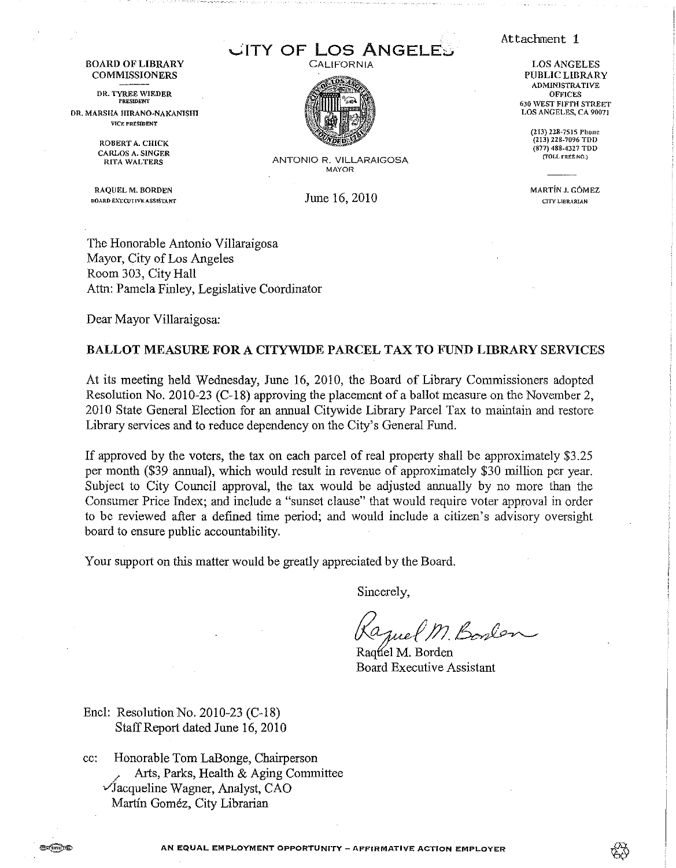**CITY OF LOS ANGELES** CALIFORNIA



ANTONIO R. VILLARAIGOSA MAYOR

June 16, 2010

Attachment 1

LOS ANGELES PUBLIC LIBRARY ADMINISTRATIVE **OFFICES** 630 WEST F!FfH STREET LOS ANGELES, CA 90071

(213) 228-7515 Phone (213) 228-7096 TDD (877) 488-4327 TOO [f0LL FREE NO.)

MARTiN J. G6MEZ CITY LIBRARIAN

The Honorable Antonio Villaraigosa Mayor, City of Los Angeles Room 303, City Hall Attn: Pamela Finley, Legislative Coordinator

Dear Mayor Villaraigosa:

BOARD OF LIBRARY COMMISSIONERS DR. TYREE WIEDER DR. MARSHA HIRANO-NAKANISHI VICE PR£SIDENT ROBERT A. CHICK CARLOS A. SINGER RITA WALTERS

> RAQUEL M. BORDEN BOARD EXECUTIVE ASSISTANT

#### BALLOT MEASURE FOR A CITYWIDE PARCEL TAX TO FUND LIBRARY SERVICES

At its meeting held Wednesday, June 16, 2010, the Board of Library Commissioners adopted Resolution No. 2010-23 (C-18) approving the placement of a ballot measure on the November 2, 2010 State General Election for an annual Citywide Library Parcel Tax to maintain and restore Library services and to reduce dependency on the City's General Fund.

If approved by the voters, the tax on each parcel of real property shall be approximately \$3 .25 per month (\$39 annual), which would result in revenue of approximately \$30 million per year. Subject to City Council approval, the tax would be adjusted annually by no more than the Consumer Price Index; and include a "sunset clause" that would require voter approval in order to be reviewed after a defined time period; and would include a citizen's advisory oversight board to ensure public accountability.

Your support on this matter would be greatly appreciated by the Board.

Sincerely,

1 Boslan

Raquel M. Borden Board Executive Assistant

Encl: Resolution No. 2010-23 (C-18) StaffReport dated June 16,2010

cc: Honorable Tom LaBonge, Chairperson / Arts, Parks, Health & Aging Committee  $\sqrt{3}$ acqueline Wagner, Analyst, CAO Martin Gomez, City Librarian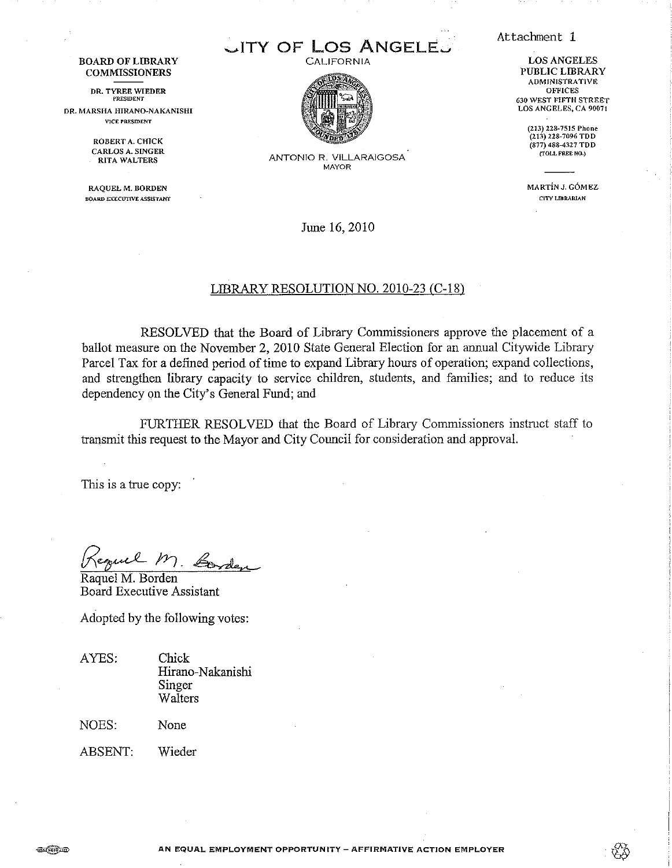Attachment 1

LOS ANGELES PUBLIC LIBRARY ADMINISTRATIVE **OFFICES** 630 WEST FIFTH STREET LOS ANGELES, CA 90071

> (213) 228-7515 Phone (213) 228-7096 TDD (877) 488-4327 TDD {TOLL FREE NO.)

MARTiN J. G6MEZ CITY LIDRARIAN

BOARD OF LIBRARY **COMMISSIONERS** 

DR. TYREE WIEDER PRESIDENT OR. MARSHA HIRANO~NAKANISHI

\'JCE PRESIDENT

ROBERT A. CHICK CARLOS A. SINGER RITA WALTERS

RAQUEL M. BORDEN BOARD EXECUTIVE ASSISTANT



.ITY OF LOS ANGELE. CALIFORNIA

> ANTONIO R. VILLARAIGOSA MAYOR

> > June 16,2010

#### LIBRARY RESOLUTION NO. 2010-23 CC-18)

RESOLVED that the Board of Library Commissioners approve the placement of a ballot measure on the November 2, 2010 State General Election for an annual Citywide Library Parcel Tax for a defined period of time to expand Library hours of operation; expand collections, and strengthen library capacity to service children, students, and families; and to reduce its dependency on the City's General Fund; and

FURTHER RESOLVED that the Board of Library Commissioners instruct staff to transmit this request to the Mayor and City Council for consideration and approval.

This is a true copy:

Negue - 1'1. <del>Donde</del>

Board Executive Assistant

Adopted by the following votes:

AYES: Chick Hirano-Nakanishi Singer Walters

NOES: None

ABSENT: Wieder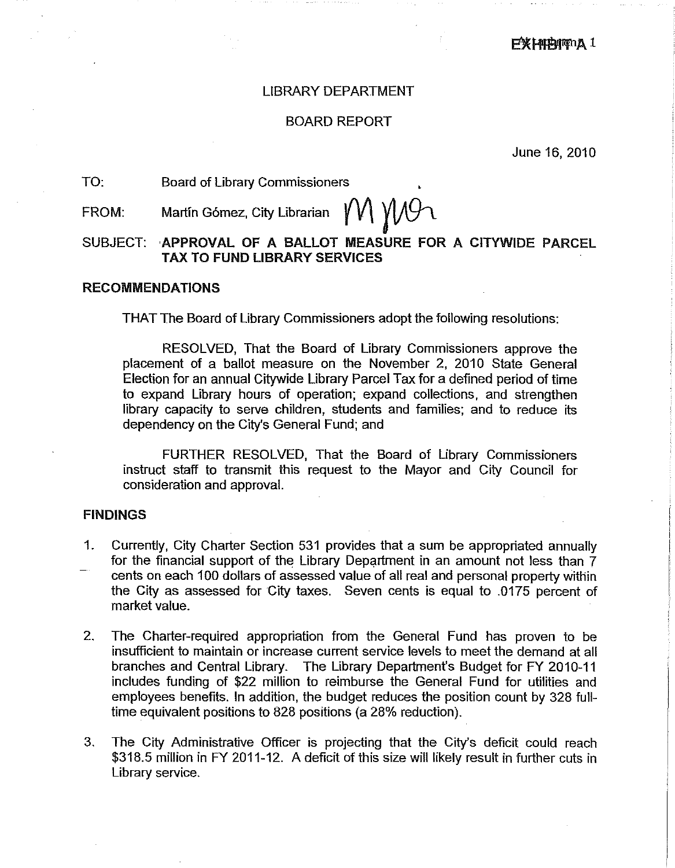# LIBRARY DEPARTMENT

# BOARD REPORT

June 16, 2010

### TO: Board of Library Commissioners

# FROM: Martin Gómez, City Librarian  $\gamma$  // $\gamma$

# SUBJECT: ·APPROVAL OF A BALLOT MEASURE FOR A CITYWIDE PARCEL TAX TO FUND LIBRARY SERVICES

#### RECOMMENDATIONS

THAT The Board of Library Commissioners adopt the following resolutions:

RESOLVED, That the Board of Library Commissioners approve the placement of a ballot measure on the November 2, 2010 State General Election for an annual Citywide Library Parcel Tax for a defined period of time to expand Library hours of operation; expand collections, and strengthen library capacity to serve children, students and families; and to reduce its dependency on the City's General Fund; and

FURTHER RESOLVED, That the Board of Library Commissioners instruct staff to transmit this request to the Mayor and City Council for consideration and approval.

### FINDINGS

- 1. Currently, City Charter Section 531 provides that a sum be appropriated annually for the financial support of the Library Department in an amount not less than  $7$ cents on each 100 dollars of assessed value of all real and personal property within the City as assessed for City taxes. Seven cents is equal to .0175 percent of market value.
- 2. The Charter-required appropriation from the General Fund has proven to be insufficient to maintain or increase current service levels to meet the demand at all branches and Central Library. The Library Department's Budget for FY 2010-11 includes funding of \$22 million to reimburse the General Fund for utilities and employees benefits. In addition, the budget reduces the position count by 328 fulltime equivalent positions to 828 positions (a 28% reduction).
- 3. The City Administrative Officer is projecting that the City's deficit could reach \$318.5 million in FY 2011-12. A deficit of this size will likely result in further cuts in Library service.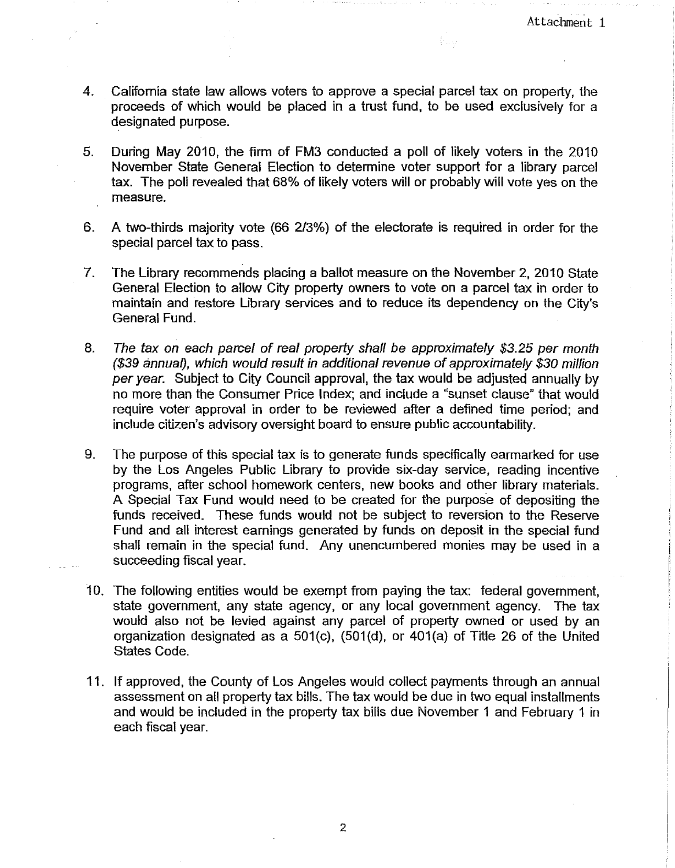4. California state law allows voters to approve a special parcel tax on property, the proceeds of which would be placed in a trust fund, to be used exclusively for a designated purpose.

fra sk

- 5. During May 2010, the firm of FM3 conducted a poll of likely voters in the 2010 November State General Election to determine voter support for a library parcel tax. The poll revealed that 68% of likely voters will or probably will vote yes on the measure.
- 6. A two-thirds majority vote (66 2/3%) of the electorate is required in order for the special parcel tax to pass.
- 7. The Library recommends placing a ballot measure on the November 2, 2010 State General Election to allow City property owners to vote on a parcel tax in order to maintain and restore Library services and to reduce its dependency on the City's General Fund.
- 8. The tax on each parcel of real property shall be approximately \$3.25 per month (\$39 annual), which would result in additional revenue of approximately \$30 million per year. Subject to City Council approval, the tax would be adjusted annually by no more than the Consumer Price Index; and include a "sunset clause" that would require voter approval in order to be reviewed after a defined time period; and include citizen's advisory oversight board to ensure public accountability.
- 9. The purpose of this special tax is to generate funds specifically earmarked for use by the Los Angeles Public Library to provide six-day service, reading incentive programs, after school homework centers, new books and other library materials. A Special Tax Fund would need to be created for the purpose of depositing the funds received. These funds would not be subject to reversion to the Reserve Fund and all interest earnings generated by funds on deposit in the special fund shall remain in the special fund. Any unencumbered monies may be used in a succeeding fiscal year.
- 10. The following entities would be exempt from paying the tax: federal government, state government, any state agency, or any local government agency. The tax would also not be levied against any parcel of property owned or used by an organization designated as a 501(c), (501(d), or 401(a) of Title 26 of the United States Code.
- 11. If approved, the County of Los Angeles would collect payments through an annual assessment on all property tax bills. The tax would be due in two equal installments and would be included in the property tax bills due November 1 and February 1 in each fiscal year.

2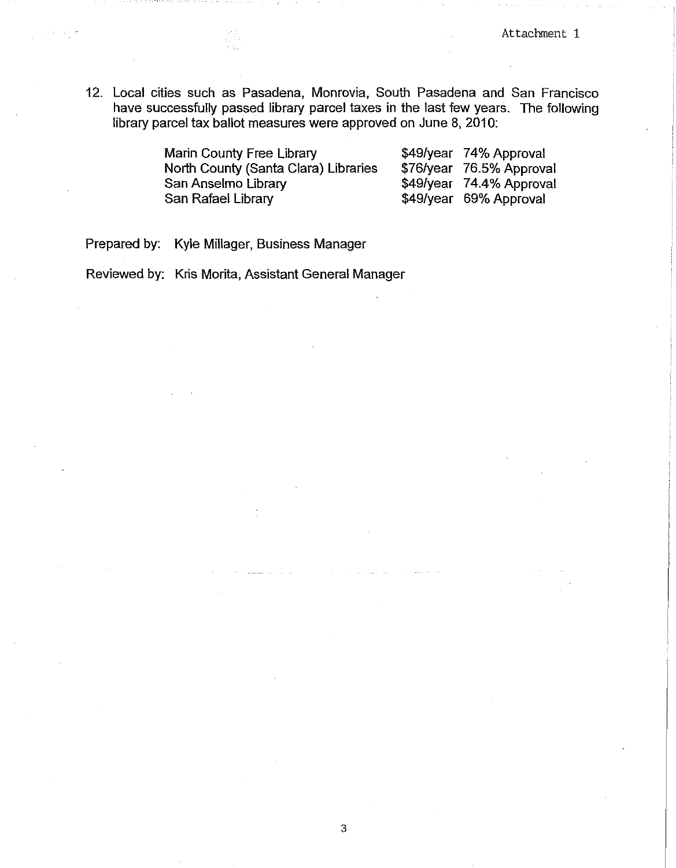12. Local cities such as Pasadena, Monrovia, South Pasadena and San Francisco have successfully passed library parcel taxes in the last few years. The following library parcel tax ballot measures were approved on June 8, 2010:

| Marin County Free Library            | \$49/year 74% Approval   |
|--------------------------------------|--------------------------|
| North County (Santa Clara) Libraries | \$76/year 76.5% Approval |
| San Anselmo Library                  | \$49/year 74.4% Approval |
| San Rafael Library                   | \$49/year 69% Approval   |

Prepared by: Kyle Millager, Business Manager

 $\sim$ 

Reviewed by: Kris Morita, Assistant General Manager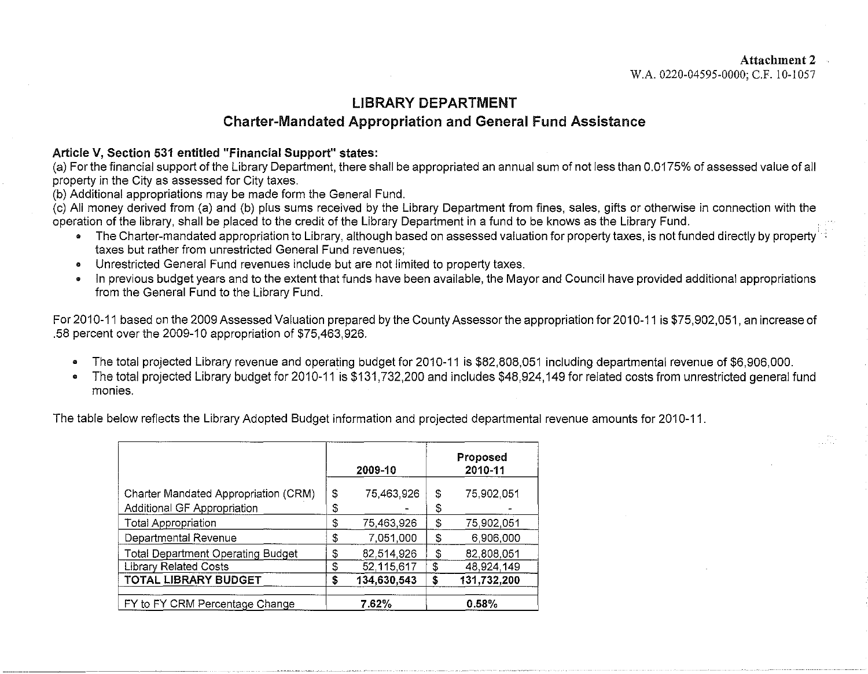# LIBRARY DEPARTMENT Charter-Mandated Appropriation and General Fund Assistance

# Article V, Section 531 entitled "Financial Support" states:

(a) For the financial support of the Library Department, there shall be appropriated an annual sum of not less than 0.0175% of assessed value of all property in the City as assessed for City taxes.

(b) Additional appropriations may be made form the General Fund.

(c) All money derived from (a) and (b) plus sums received by the Library Department from fines, sales, gifts or otherwise in connection with the operation of the library, shall be placed to the credit of the Library Department in a fund to be knows as the Library Fund.

- The Charter-mandated appropriation to Library, although based on assessed valuation for property taxes, is not funded directly by property taxes but rather from unrestricted General Fund revenues;
- Unrestricted General Fund revenues include but are not limited to property taxes.
- In previous budget years and to the extent that funds have been available, the Mayor and Council have provided additional appropriations from the General Fund to the Library Fund.

For 2010-11 based on the 2009 Assessed Valuation prepared by the County Assessor the appropriation for 2010-11 is \$75,902,051, an increase of .58 percent over the 2009-10 appropriation of \$75,463,926.

- The total projected Library revenue and operating budget for 2010-11 is \$82,808,051 including departmental revenue of \$6,906,000.
- The total projected Library budget for 2010-11 is \$131,732,200 and includes \$48,924,149 for related costs from unrestricted general fund monies.

The table below reflects the Library Adopted Budget information and projected departmental revenue amounts for 2010-11.

|                                          | 2009-10 |             | Proposed<br>2010-11 |             |
|------------------------------------------|---------|-------------|---------------------|-------------|
| Charter Mandated Appropriation (CRM)     | \$      | 75,463,926  | \$                  | 75.902.051  |
| Additional GF Appropriation              | \$      |             | \$                  |             |
| <b>Total Appropriation</b>               | \$      | 75,463,926  | \$                  | 75,902,051  |
| Departmental Revenue                     | \$      | 7,051,000   | \$                  | 6,906,000   |
| <b>Total Department Operating Budget</b> | \$      | 82,514,926  | \$                  | 82,808,051  |
| <b>Library Related Costs</b>             | \$      | 52,115,617  | \$                  | 48.924.149  |
| TOTAL LIBRARY BUDGET                     | \$      | 134,630,543 | \$                  | 131 732 200 |
| FY to FY CRM Percentage Change           |         | 7.62%       |                     | 0.58%       |